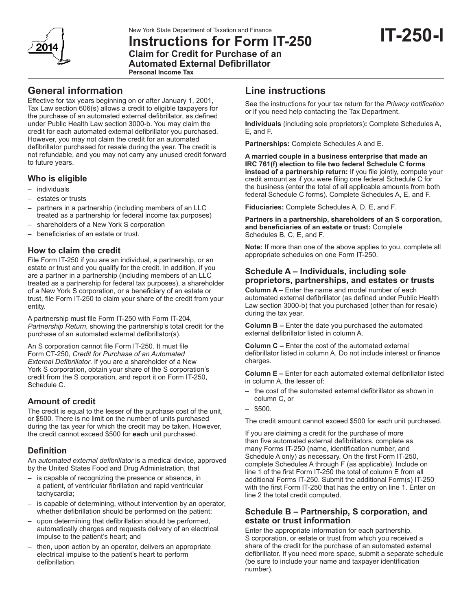New York State Department of Taxation and Finance

# **Instructions for Form IT-250 Claim for Credit for Purchase of an Automated External Defibrillator**

**IT-250-I**

**Personal Income Tax**

# **General information**

Effective for tax years beginning on or after January 1, 2001, Tax Law section 606(s) allows a credit to eligible taxpayers for the purchase of an automated external defibrillator, as defined under Public Health Law section 3000-b. You may claim the credit for each automated external defibrillator you purchased. However, you may not claim the credit for an automated defibrillator purchased for resale during the year. The credit is not refundable, and you may not carry any unused credit forward to future years.

### **Who is eligible**

- individuals
- estates or trusts
- partners in a partnership (including members of an LLC treated as a partnership for federal income tax purposes)
- shareholders of a New York S corporation
- beneficiaries of an estate or trust.

### **How to claim the credit**

File Form IT-250 if you are an individual, a partnership, or an estate or trust and you qualify for the credit. In addition, if you are a partner in a partnership (including members of an LLC treated as a partnership for federal tax purposes), a shareholder of a New York S corporation, or a beneficiary of an estate or trust, file Form IT-250 to claim your share of the credit from your entity.

A partnership must file Form IT-250 with Form IT-204, *Partnership Return*, showing the partnership's total credit for the purchase of an automated external defibrillator(s).

An S corporation cannot file Form IT-250. It must file Form CT-250, *Credit for Purchase of an Automated External Defibrillator*. If you are a shareholder of a New York S corporation, obtain your share of the S corporation's credit from the S corporation, and report it on Form IT-250, Schedule C.

### **Amount of credit**

The credit is equal to the lesser of the purchase cost of the unit, or \$500. There is no limit on the number of units purchased during the tax year for which the credit may be taken. However, the credit cannot exceed \$500 for **each** unit purchased.

## **Definition**

An *automated external defibrillator* is a medical device, approved by the United States Food and Drug Administration, that

- is capable of recognizing the presence or absence, in a patient, of ventricular fibrillation and rapid ventricular tachycardia;
- is capable of determining, without intervention by an operator, whether defibrillation should be performed on the patient;
- upon determining that defibrillation should be performed, automatically charges and requests delivery of an electrical impulse to the patient's heart; and
- then, upon action by an operator, delivers an appropriate electrical impulse to the patient's heart to perform defibrillation.

# **Line instructions**

See the instructions for your tax return for the *Privacy notification*  or if you need help contacting the Tax Department.

**Individuals** (including sole proprietors)**:** Complete Schedules A, E, and F.

**Partnerships:** Complete Schedules A and E.

**A married couple in a business enterprise that made an IRC 761(f) election to file two federal Schedule C forms instead of a partnership return:** If you file jointly, compute your credit amount as if you were filing one federal Schedule C for the business (enter the total of all applicable amounts from both federal Schedule C forms). Complete Schedules A, E, and F.

**Fiduciaries:** Complete Schedules A, D, E, and F.

**Partners in a partnership, shareholders of an S corporation, and beneficiaries of an estate or trust:** Complete Schedules B, C, E, and F.

**Note:** If more than one of the above applies to you, complete all appropriate schedules on one Form IT-250.

#### **Schedule A – Individuals, including sole proprietors, partnerships, and estates or trusts**

**Column A –** Enter the name and model number of each automated external defibrillator (as defined under Public Health Law section 3000-b) that you purchased (other than for resale) during the tax year.

**Column B –** Enter the date you purchased the automated external defibrillator listed in column A.

**Column C –** Enter the cost of the automated external defibrillator listed in column A. Do not include interest or finance charges.

**Column E –** Enter for each automated external defibrillator listed in column A, the lesser of:

- the cost of the automated external defibrillator as shown in column C, or
- $-$  \$500.

The credit amount cannot exceed \$500 for each unit purchased.

If you are claiming a credit for the purchase of more than five automated external defibrillators, complete as many Forms IT-250 (name, identification number, and Schedule A only) as necessary. On the first Form IT-250, complete Schedules A through F (as applicable). Include on line 1 of the first Form IT-250 the total of column E from all additional Forms IT-250. Submit the additional Form(s) IT-250 with the first Form IT-250 that has the entry on line 1. Enter on line 2 the total credit computed.

### **Schedule B – Partnership, S corporation, and estate or trust information**

Enter the appropriate information for each partnership, S corporation, or estate or trust from which you received a share of the credit for the purchase of an automated external defibrillator. If you need more space, submit a separate schedule (be sure to include your name and taxpayer identification number).